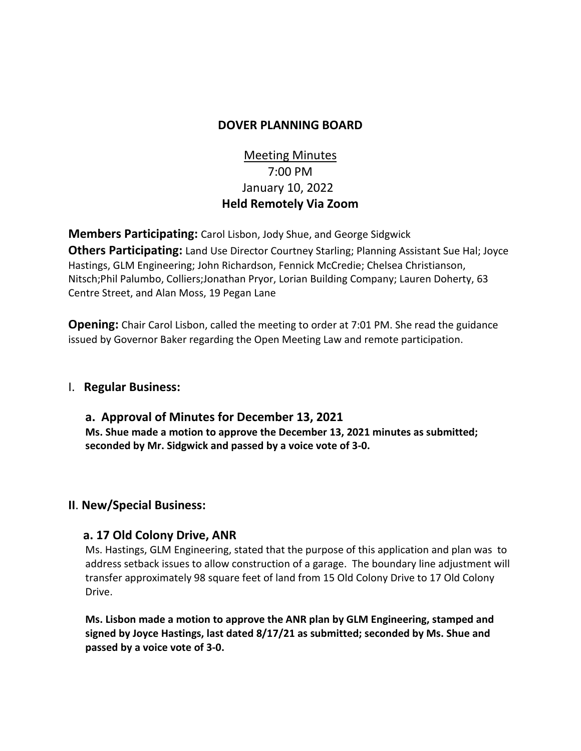### **DOVER PLANNING BOARD**

# Meeting Minutes 7:00 PM January 10, 2022 **Held Remotely Via Zoom**

**Members Participating:** Carol Lisbon, Jody Shue, and George Sidgwick **Others Participating:** Land Use Director Courtney Starling; Planning Assistant Sue Hal; Joyce Hastings, GLM Engineering; John Richardson, Fennick McCredie; Chelsea Christianson, Nitsch;Phil Palumbo, Colliers;Jonathan Pryor, Lorian Building Company; Lauren Doherty, 63 Centre Street, and Alan Moss, 19 Pegan Lane

**Opening:** Chair Carol Lisbon, called the meeting to order at 7:01 PM. She read the guidance issued by Governor Baker regarding the Open Meeting Law and remote participation.

### I. **Regular Business:**

**a. Approval of Minutes for December 13, 2021 Ms. Shue made a motion to approve the December 13, 2021 minutes as submitted; seconded by Mr. Sidgwick and passed by a voice vote of 3-0.**

### **II**. **New/Special Business:**

#### **a. 17 Old Colony Drive, ANR**

Ms. Hastings, GLM Engineering, stated that the purpose of this application and plan was to address setback issues to allow construction of a garage. The boundary line adjustment will transfer approximately 98 square feet of land from 15 Old Colony Drive to 17 Old Colony Drive.

**Ms. Lisbon made a motion to approve the ANR plan by GLM Engineering, stamped and signed by Joyce Hastings, last dated 8/17/21 as submitted; seconded by Ms. Shue and passed by a voice vote of 3-0.**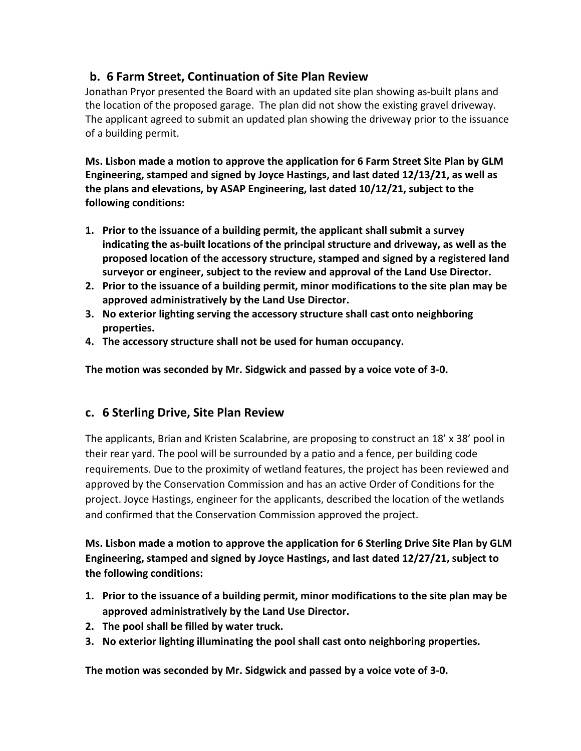## **b. 6 Farm Street, Continuation of Site Plan Review**

Jonathan Pryor presented the Board with an updated site plan showing as-built plans and the location of the proposed garage. The plan did not show the existing gravel driveway. The applicant agreed to submit an updated plan showing the driveway prior to the issuance of a building permit.

**Ms. Lisbon made a motion to approve the application for 6 Farm Street Site Plan by GLM Engineering, stamped and signed by Joyce Hastings, and last dated 12/13/21, as well as the plans and elevations, by ASAP Engineering, last dated 10/12/21, subject to the following conditions:**

- **1. Prior to the issuance of a building permit, the applicant shall submit a survey indicating the as-built locations of the principal structure and driveway, as well as the proposed location of the accessory structure, stamped and signed by a registered land surveyor or engineer, subject to the review and approval of the Land Use Director.**
- **2. Prior to the issuance of a building permit, minor modifications to the site plan may be approved administratively by the Land Use Director.**
- **3. No exterior lighting serving the accessory structure shall cast onto neighboring properties.**
- **4. The accessory structure shall not be used for human occupancy.**

**The motion was seconded by Mr. Sidgwick and passed by a voice vote of 3-0.** 

### **c. 6 Sterling Drive, Site Plan Review**

The applicants, Brian and Kristen Scalabrine, are proposing to construct an 18' x 38' pool in their rear yard. The pool will be surrounded by a patio and a fence, per building code requirements. Due to the proximity of wetland features, the project has been reviewed and approved by the Conservation Commission and has an active Order of Conditions for the project. Joyce Hastings, engineer for the applicants, described the location of the wetlands and confirmed that the Conservation Commission approved the project.

**Ms. Lisbon made a motion to approve the application for 6 Sterling Drive Site Plan by GLM Engineering, stamped and signed by Joyce Hastings, and last dated 12/27/21, subject to the following conditions:**

- **1. Prior to the issuance of a building permit, minor modifications to the site plan may be approved administratively by the Land Use Director.**
- **2. The pool shall be filled by water truck.**
- **3. No exterior lighting illuminating the pool shall cast onto neighboring properties.**

**The motion was seconded by Mr. Sidgwick and passed by a voice vote of 3-0.**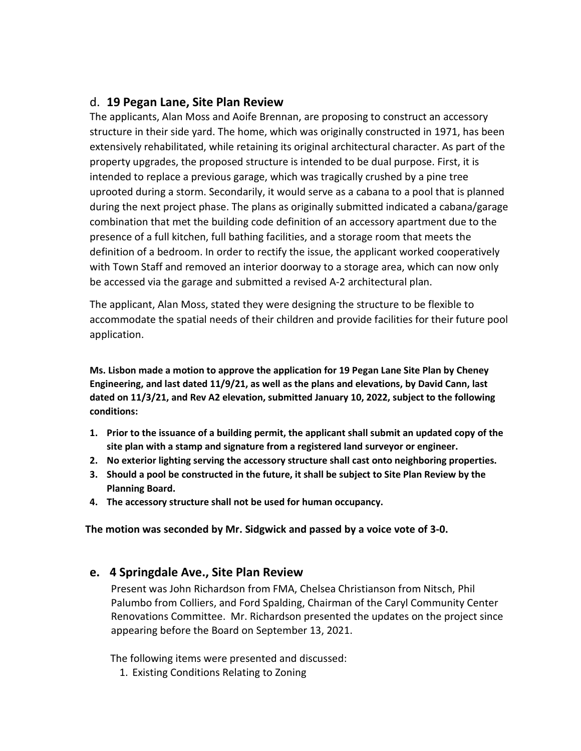### d. **19 Pegan Lane, Site Plan Review**

The applicants, Alan Moss and Aoife Brennan, are proposing to construct an accessory structure in their side yard. The home, which was originally constructed in 1971, has been extensively rehabilitated, while retaining its original architectural character. As part of the property upgrades, the proposed structure is intended to be dual purpose. First, it is intended to replace a previous garage, which was tragically crushed by a pine tree uprooted during a storm. Secondarily, it would serve as a cabana to a pool that is planned during the next project phase. The plans as originally submitted indicated a cabana/garage combination that met the building code definition of an accessory apartment due to the presence of a full kitchen, full bathing facilities, and a storage room that meets the definition of a bedroom. In order to rectify the issue, the applicant worked cooperatively with Town Staff and removed an interior doorway to a storage area, which can now only be accessed via the garage and submitted a revised A-2 architectural plan.

The applicant, Alan Moss, stated they were designing the structure to be flexible to accommodate the spatial needs of their children and provide facilities for their future pool application.

**Ms. Lisbon made a motion to approve the application for 19 Pegan Lane Site Plan by Cheney Engineering, and last dated 11/9/21, as well as the plans and elevations, by David Cann, last dated on 11/3/21, and Rev A2 elevation, submitted January 10, 2022, subject to the following conditions:**

- **1. Prior to the issuance of a building permit, the applicant shall submit an updated copy of the site plan with a stamp and signature from a registered land surveyor or engineer.**
- **2. No exterior lighting serving the accessory structure shall cast onto neighboring properties.**
- **3. Should a pool be constructed in the future, it shall be subject to Site Plan Review by the Planning Board.**
- **4. The accessory structure shall not be used for human occupancy.**

**The motion was seconded by Mr. Sidgwick and passed by a voice vote of 3-0.** 

### **e. 4 Springdale Ave., Site Plan Review**

Present was John Richardson from FMA, Chelsea Christianson from Nitsch, Phil Palumbo from Colliers, and Ford Spalding, Chairman of the Caryl Community Center Renovations Committee. Mr. Richardson presented the updates on the project since appearing before the Board on September 13, 2021.

The following items were presented and discussed:

1. Existing Conditions Relating to Zoning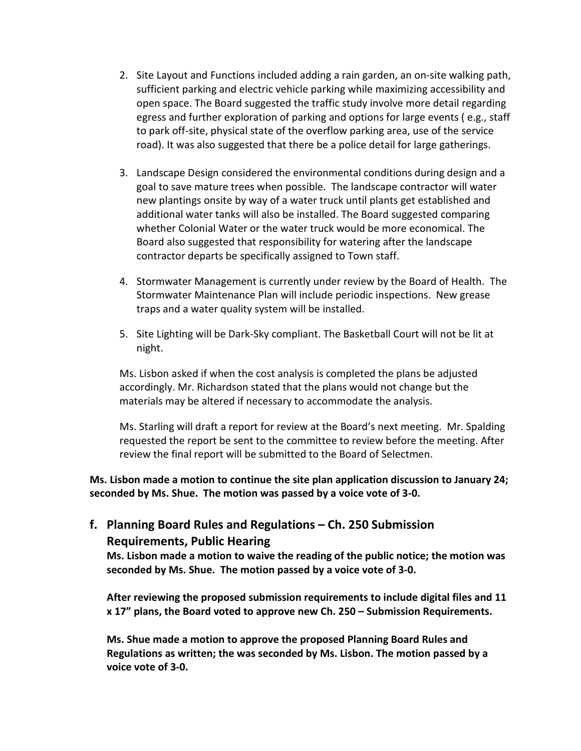- 2. Site Layout and Functions included adding a rain garden, an on-site walking path, sufficient parking and electric vehicle parking while maximizing accessibility and open space. The Board suggested the traffic study involve more detail regarding egress and further exploration of parking and options for large events ( e.g., staff to park off-site, physical state of the overflow parking area, use of the service road). It was also suggested that there be a police detail for large gatherings.
- 3. Landscape Design considered the environmental conditions during design and a goal to save mature trees when possible. The landscape contractor will water new plantings onsite by way of a water truck until plants get established and additional water tanks will also be installed. The Board suggested comparing whether Colonial Water or the water truck would be more economical. The Board also suggested that responsibility for watering after the landscape contractor departs be specifically assigned to Town staff.
- 4. Stormwater Management is currently under review by the Board of Health. The Stormwater Maintenance Plan will include periodic inspections. New grease traps and a water quality system will be installed.
- 5. Site Lighting will be Dark-Sky compliant. The Basketball Court will not be lit at night.

Ms. Lisbon asked if when the cost analysis is completed the plans be adjusted accordingly. Mr. Richardson stated that the plans would not change but the materials may be altered if necessary to accommodate the analysis.

Ms. Starling will draft a report for review at the Board's next meeting. Mr. Spalding requested the report be sent to the committee to review before the meeting. After review the final report will be submitted to the Board of Selectmen.

**Ms. Lisbon made a motion to continue the site plan application discussion to January 24; seconded by Ms. Shue. The motion was passed by a voice vote of 3-0.** 

### **f. Planning Board Rules and Regulations – Ch. 250 Submission Requirements, Public Hearing**

**Ms. Lisbon made a motion to waive the reading of the public notice; the motion was seconded by Ms. Shue. The motion passed by a voice vote of 3-0.**

**After reviewing the proposed submission requirements to include digital files and 11 x 17" plans, the Board voted to approve new Ch. 250 – Submission Requirements.** 

**Ms. Shue made a motion to approve the proposed Planning Board Rules and Regulations as written; the was seconded by Ms. Lisbon. The motion passed by a voice vote of 3-0.**